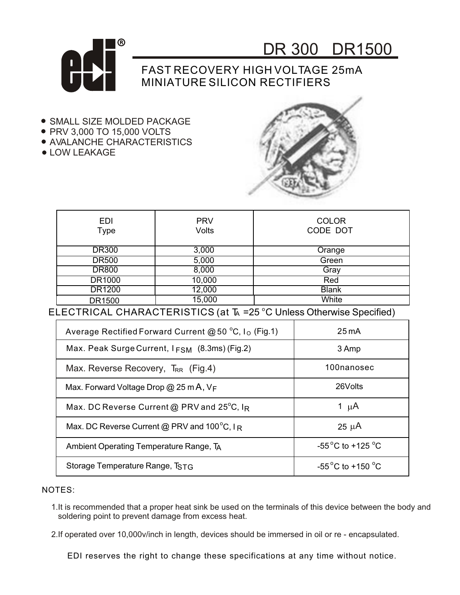



## FAST RECOVERY HIGH VOLTAGE 25mA MINIATURE SILICON RECTIFIERS

- **SMALL SIZE MOLDED PACKAGE**
- PRV 3,000 TO 15,000 VOLTS
- AVALANCHE CHARACTERISTICS
- LOW LEAKAGE



| <b>EDI</b><br>Type | <b>PRV</b><br><b>Volts</b> | <b>COLOR</b><br>CODE DOT |  |
|--------------------|----------------------------|--------------------------|--|
| <b>DR300</b>       | 3,000                      | Orange                   |  |
| <b>DR500</b>       | 5,000                      | Green                    |  |
| <b>DR800</b>       | 8,000                      | Gray                     |  |
| <b>DR1000</b>      | 10,000                     | Red                      |  |
| DR1200             | 12,000                     | <b>Blank</b>             |  |
| DR1500             | 15,000                     | White                    |  |

ELECTRICAL CHARACTERISTICS (at TA = 25 °C Unless Otherwise Specified)

| Average Rectified Forward Current @ 50 °C, I <sub>o</sub> (Fig.1) | $25 \text{ mA}$                       |  |
|-------------------------------------------------------------------|---------------------------------------|--|
| Max. Peak Surge Current, $I_{FSM}$ (8.3ms) (Fig.2)                | 3 Amp                                 |  |
| Max. Reverse Recovery, T <sub>RR</sub> (Fig.4)                    | 100nanosec                            |  |
| Max. Forward Voltage Drop @ 25 m A, $V_F$                         | 26Volts                               |  |
| Max. DC Reverse Current @ PRV and 25°C, IR                        | 1 $\mu$ A                             |  |
| Max. DC Reverse Current @ PRV and $100^{\circ}$ C, IR             | $25 \mu A$                            |  |
| Ambient Operating Temperature Range, TA                           | -55 $^{\circ}$ C to +125 $^{\circ}$ C |  |
| Storage Temperature Range, TSTG                                   | $-55^{\circ}$ C to +150 $^{\circ}$ C  |  |

NOTES:

1.It is recommended that a proper heat sink be used on the terminals of this device between the body and soldering point to prevent damage from excess heat.

2.If operated over 10,000v/inch in length, devices should be immersed in oil or re - encapsulated.

EDI reserves the right to change these specifications at any time without notice.